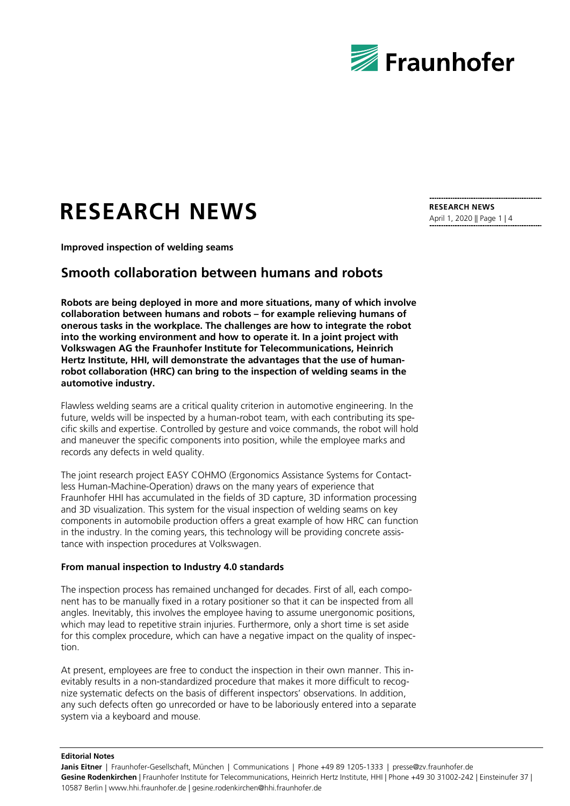

# **RESEARCH NEWS**

**Improved inspection of welding seams**

## **Smooth collaboration between humans and robots**

**Robots are being deployed in more and more situations, many of which involve collaboration between humans and robots – for example relieving humans of onerous tasks in the workplace. The challenges are how to integrate the robot into the working environment and how to operate it. In a joint project with Volkswagen AG the Fraunhofer Institute for Telecommunications, Heinrich Hertz Institute, HHI, will demonstrate the advantages that the use of humanrobot collaboration (HRC) can bring to the inspection of welding seams in the automotive industry.**

Flawless welding seams are a critical quality criterion in automotive engineering. In the future, welds will be inspected by a human-robot team, with each contributing its specific skills and expertise. Controlled by gesture and voice commands, the robot will hold and maneuver the specific components into position, while the employee marks and records any defects in weld quality.

The joint research project EASY COHMO (Ergonomics Assistance Systems for Contactless Human-Machine-Operation) draws on the many years of experience that Fraunhofer HHI has accumulated in the fields of 3D capture, 3D information processing and 3D visualization. This system for the visual inspection of welding seams on key components in automobile production offers a great example of how HRC can function in the industry. In the coming years, this technology will be providing concrete assistance with inspection procedures at Volkswagen.

#### **From manual inspection to Industry 4.0 standards**

The inspection process has remained unchanged for decades. First of all, each component has to be manually fixed in a rotary positioner so that it can be inspected from all angles. Inevitably, this involves the employee having to assume unergonomic positions, which may lead to repetitive strain injuries. Furthermore, only a short time is set aside for this complex procedure, which can have a negative impact on the quality of inspection.

At present, employees are free to conduct the inspection in their own manner. This inevitably results in a non-standardized procedure that makes it more difficult to recognize systematic defects on the basis of different inspectors' observations. In addition, any such defects often go unrecorded or have to be laboriously entered into a separate system via a keyboard and mouse.

**Editorial Notes**

**RESEARCH NEWS** April 1, 2020 || Page 1 | 4

Janis Eitner | Fraunhofer-Gesellschaft, München | Communications | Phone +49 89 1205-1333 | presse@zv.fraunhofer.de **Gesine Rodenkirchen** | Fraunhofer Institute for Telecommunications, Heinrich Hertz Institute, HHI | Phone +49 30 31002-242 | Einsteinufer 37 | 10587 Berlin | www.hhi.fraunhofer.de | gesine.rodenkirchen@hhi.fraunhofer.de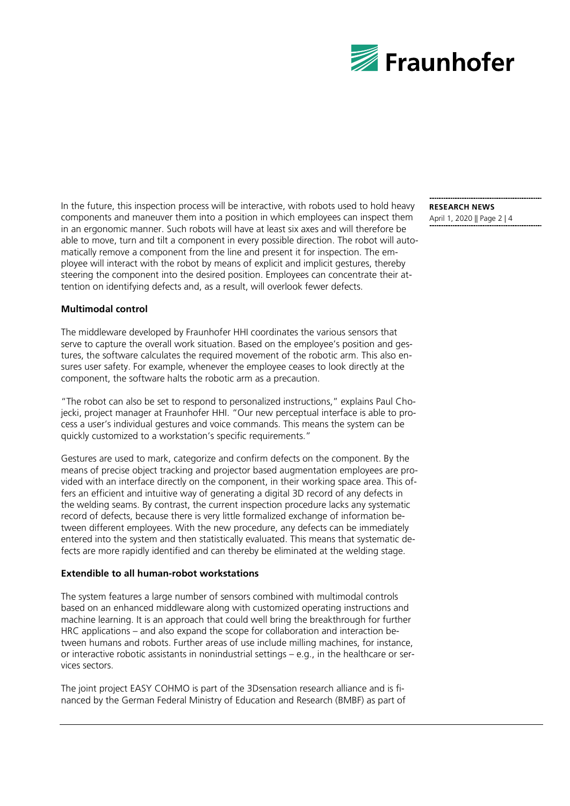

In the future, this inspection process will be interactive, with robots used to hold heavy components and maneuver them into a position in which employees can inspect them in an ergonomic manner. Such robots will have at least six axes and will therefore be able to move, turn and tilt a component in every possible direction. The robot will automatically remove a component from the line and present it for inspection. The employee will interact with the robot by means of explicit and implicit gestures, thereby steering the component into the desired position. Employees can concentrate their attention on identifying defects and, as a result, will overlook fewer defects.

### **RESEARCH NEWS** April 1, 2020 || Page 2 | 4

#### **Multimodal control**

The middleware developed by Fraunhofer HHI coordinates the various sensors that serve to capture the overall work situation. Based on the employee's position and gestures, the software calculates the required movement of the robotic arm. This also ensures user safety. For example, whenever the employee ceases to look directly at the component, the software halts the robotic arm as a precaution.

"The robot can also be set to respond to personalized instructions," explains Paul Chojecki, project manager at Fraunhofer HHI. "Our new perceptual interface is able to process a user's individual gestures and voice commands. This means the system can be quickly customized to a workstation's specific requirements."

Gestures are used to mark, categorize and confirm defects on the component. By the means of precise object tracking and projector based augmentation employees are provided with an interface directly on the component, in their working space area. This offers an efficient and intuitive way of generating a digital 3D record of any defects in the welding seams. By contrast, the current inspection procedure lacks any systematic record of defects, because there is very little formalized exchange of information between different employees. With the new procedure, any defects can be immediately entered into the system and then statistically evaluated. This means that systematic defects are more rapidly identified and can thereby be eliminated at the welding stage.

#### **Extendible to all human-robot workstations**

The system features a large number of sensors combined with multimodal controls based on an enhanced middleware along with customized operating instructions and machine learning. It is an approach that could well bring the breakthrough for further HRC applications – and also expand the scope for collaboration and interaction between humans and robots. Further areas of use include milling machines, for instance, or interactive robotic assistants in nonindustrial settings – e.g., in the healthcare or services sectors.

The joint project EASY COHMO is part of the 3Dsensation research alliance and is financed by the German Federal Ministry of Education and Research (BMBF) as part of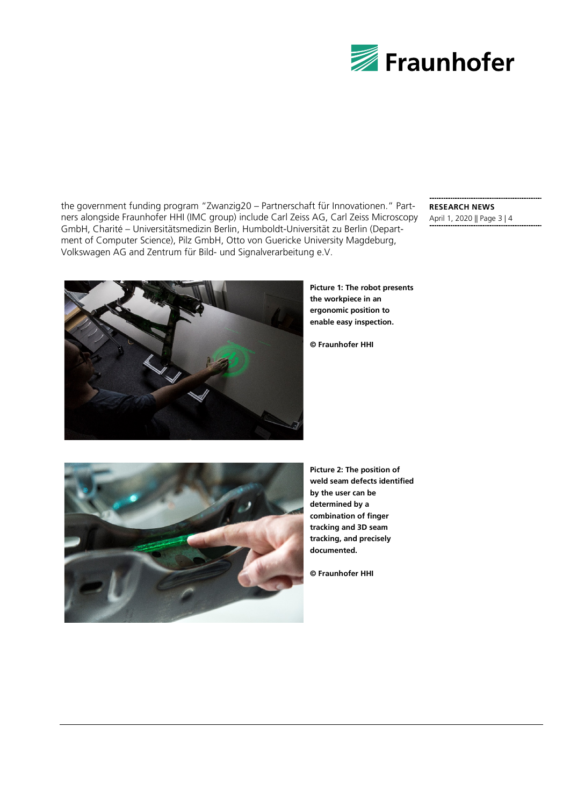

the government funding program "Zwanzig20 – Partnerschaft für Innovationen." Partners alongside Fraunhofer HHI (IMC group) include Carl Zeiss AG, Carl Zeiss Microscopy GmbH, Charité – Universitätsmedizin Berlin, Humboldt-Universität zu Berlin (Department of Computer Science), Pilz GmbH, Otto von Guericke University Magdeburg, Volkswagen AG and Zentrum für Bild- und Signalverarbeitung e.V.

#### **RESEARCH NEWS** April 1, 2020 || Page 3 | 4



**Picture 1: The robot presents the workpiece in an ergonomic position to enable easy inspection.**

**© Fraunhofer HHI**



**Picture 2: The position of weld seam defects identified by the user can be determined by a combination of finger tracking and 3D seam tracking, and precisely documented.**

**© Fraunhofer HHI**